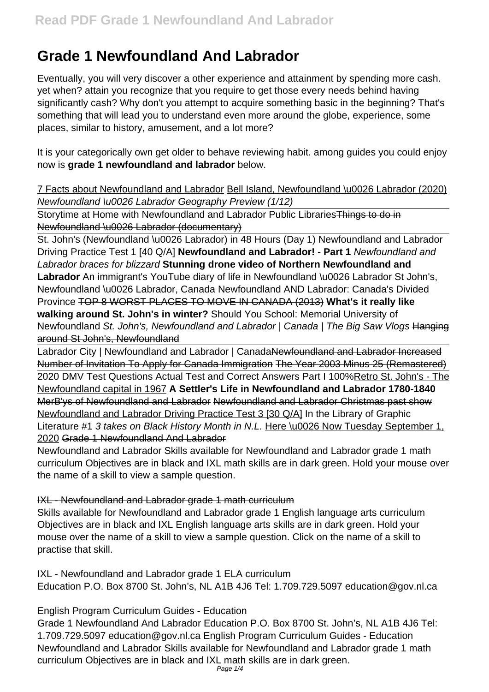# **Grade 1 Newfoundland And Labrador**

Eventually, you will very discover a other experience and attainment by spending more cash. yet when? attain you recognize that you require to get those every needs behind having significantly cash? Why don't you attempt to acquire something basic in the beginning? That's something that will lead you to understand even more around the globe, experience, some places, similar to history, amusement, and a lot more?

It is your categorically own get older to behave reviewing habit. among guides you could enjoy now is **grade 1 newfoundland and labrador** below.

7 Facts about Newfoundland and Labrador Bell Island, Newfoundland \u0026 Labrador (2020) Newfoundland \u0026 Labrador Geography Preview (1/12)

Storytime at Home with Newfoundland and Labrador Public Libraries Things to do in Newfoundland \u0026 Labrador (documentary)

St. John's (Newfoundland \u0026 Labrador) in 48 Hours (Day 1) Newfoundland and Labrador Driving Practice Test 1 [40 Q/A] **Newfoundland and Labrador! - Part 1** Newfoundland and Labrador braces for blizzard **Stunning drone video of Northern Newfoundland and Labrador** An immigrant's YouTube diary of life in Newfoundland \u0026 Labrador St John's, Newfoundland \u0026 Labrador, Canada Newfoundland AND Labrador: Canada's Divided Province TOP 8 WORST PLACES TO MOVE IN CANADA (2013) **What's it really like walking around St. John's in winter?** Should You School: Memorial University of Newfoundland St. John's, Newfoundland and Labrador | Canada | The Big Saw Vlogs Hanging around St John's, Newfoundland

Labrador City | Newfoundland and Labrador | CanadaNewfoundland and Labrador Increased Number of Invitation To Apply for Canada Immigration The Year 2003 Minus 25 (Remastered) 2020 DMV Test Questions Actual Test and Correct Answers Part I 100%Retro St. John's - The Newfoundland capital in 1967 **A Settler's Life in Newfoundland and Labrador 1780-1840** MerB'ys of Newfoundland and Labrador Newfoundland and Labrador Christmas past show Newfoundland and Labrador Driving Practice Test 3 [30 Q/A] In the Library of Graphic Literature #1 3 takes on Black History Month in N.L. Here \u0026 Now Tuesday September 1, 2020 Grade 1 Newfoundland And Labrador

Newfoundland and Labrador Skills available for Newfoundland and Labrador grade 1 math curriculum Objectives are in black and IXL math skills are in dark green. Hold your mouse over the name of a skill to view a sample question.

# IXL - Newfoundland and Labrador grade 1 math curriculum

Skills available for Newfoundland and Labrador grade 1 English language arts curriculum Objectives are in black and IXL English language arts skills are in dark green. Hold your mouse over the name of a skill to view a sample question. Click on the name of a skill to practise that skill.

#### IXL - Newfoundland and Labrador grade 1 ELA curriculum

Education P.O. Box 8700 St. John's, NL A1B 4J6 Tel: 1.709.729.5097 education@gov.nl.ca

#### English Program Curriculum Guides - Education

Grade 1 Newfoundland And Labrador Education P.O. Box 8700 St. John's, NL A1B 4J6 Tel: 1.709.729.5097 education@gov.nl.ca English Program Curriculum Guides - Education Newfoundland and Labrador Skills available for Newfoundland and Labrador grade 1 math curriculum Objectives are in black and IXL math skills are in dark green.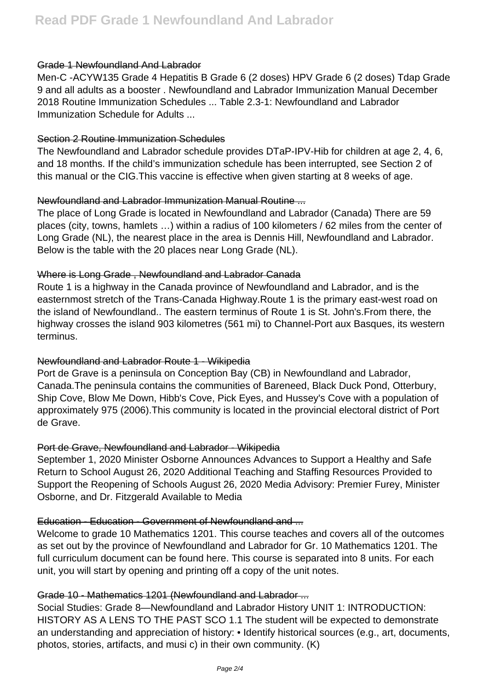#### Grade 1 Newfoundland And Labrador

Men-C -ACYW135 Grade 4 Hepatitis B Grade 6 (2 doses) HPV Grade 6 (2 doses) Tdap Grade 9 and all adults as a booster . Newfoundland and Labrador Immunization Manual December 2018 Routine Immunization Schedules ... Table 2.3-1: Newfoundland and Labrador Immunization Schedule for Adults ...

#### Section 2 Routine Immunization Schedules

The Newfoundland and Labrador schedule provides DTaP-IPV-Hib for children at age 2, 4, 6, and 18 months. If the child's immunization schedule has been interrupted, see Section 2 of this manual or the CIG.This vaccine is effective when given starting at 8 weeks of age.

# Newfoundland and Labrador Immunization Manual Routine ...

The place of Long Grade is located in Newfoundland and Labrador (Canada) There are 59 places (city, towns, hamlets …) within a radius of 100 kilometers / 62 miles from the center of Long Grade (NL), the nearest place in the area is Dennis Hill, Newfoundland and Labrador. Below is the table with the 20 places near Long Grade (NL).

# Where is Long Grade , Newfoundland and Labrador Canada

Route 1 is a highway in the Canada province of Newfoundland and Labrador, and is the easternmost stretch of the Trans-Canada Highway.Route 1 is the primary east-west road on the island of Newfoundland.. The eastern terminus of Route 1 is St. John's.From there, the highway crosses the island 903 kilometres (561 mi) to Channel-Port aux Basques, its western terminus.

# Newfoundland and Labrador Route 1 - Wikipedia

Port de Grave is a peninsula on Conception Bay (CB) in Newfoundland and Labrador, Canada.The peninsula contains the communities of Bareneed, Black Duck Pond, Otterbury, Ship Cove, Blow Me Down, Hibb's Cove, Pick Eyes, and Hussey's Cove with a population of approximately 975 (2006).This community is located in the provincial electoral district of Port de Grave.

#### Port de Grave, Newfoundland and Labrador - Wikipedia

September 1, 2020 Minister Osborne Announces Advances to Support a Healthy and Safe Return to School August 26, 2020 Additional Teaching and Staffing Resources Provided to Support the Reopening of Schools August 26, 2020 Media Advisory: Premier Furey, Minister Osborne, and Dr. Fitzgerald Available to Media

# Education - Education - Government of Newfoundland and ...

Welcome to grade 10 Mathematics 1201. This course teaches and covers all of the outcomes as set out by the province of Newfoundland and Labrador for Gr. 10 Mathematics 1201. The full curriculum document can be found here. This course is separated into 8 units. For each unit, you will start by opening and printing off a copy of the unit notes.

#### Grade 10 - Mathematics 1201 (Newfoundland and Labrador ...

Social Studies: Grade 8—Newfoundland and Labrador History UNIT 1: INTRODUCTION: HISTORY AS A LENS TO THE PAST SCO 1.1 The student will be expected to demonstrate an understanding and appreciation of history: • Identify historical sources (e.g., art, documents, photos, stories, artifacts, and musi c) in their own community. (K)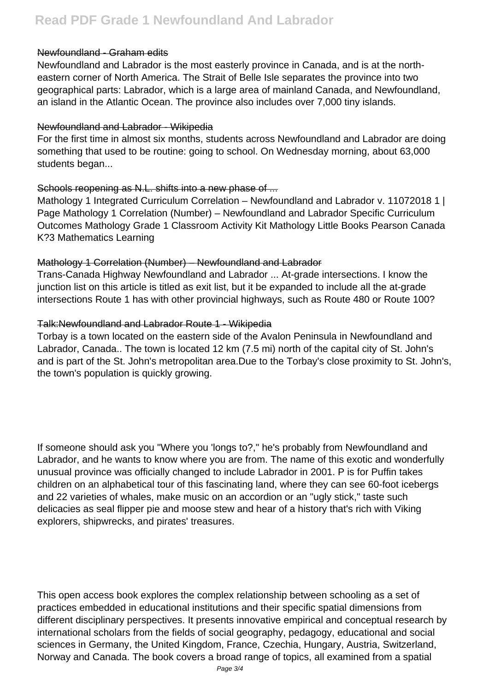# Newfoundland - Graham edits

Newfoundland and Labrador is the most easterly province in Canada, and is at the northeastern corner of North America. The Strait of Belle Isle separates the province into two geographical parts: Labrador, which is a large area of mainland Canada, and Newfoundland, an island in the Atlantic Ocean. The province also includes over 7,000 tiny islands.

#### Newfoundland and Labrador - Wikipedia

For the first time in almost six months, students across Newfoundland and Labrador are doing something that used to be routine: going to school. On Wednesday morning, about 63,000 students began...

# Schools reopening as N.L. shifts into a new phase of ...

Mathology 1 Integrated Curriculum Correlation – Newfoundland and Labrador v. 11072018 1 | Page Mathology 1 Correlation (Number) – Newfoundland and Labrador Specific Curriculum Outcomes Mathology Grade 1 Classroom Activity Kit Mathology Little Books Pearson Canada K?3 Mathematics Learning

# Mathology 1 Correlation (Number) – Newfoundland and Labrador

Trans-Canada Highway Newfoundland and Labrador ... At-grade intersections. I know the junction list on this article is titled as exit list, but it be expanded to include all the at-grade intersections Route 1 has with other provincial highways, such as Route 480 or Route 100?

# Talk:Newfoundland and Labrador Route 1 - Wikipedia

Torbay is a town located on the eastern side of the Avalon Peninsula in Newfoundland and Labrador, Canada.. The town is located 12 km (7.5 mi) north of the capital city of St. John's and is part of the St. John's metropolitan area.Due to the Torbay's close proximity to St. John's, the town's population is quickly growing.

If someone should ask you "Where you 'longs to?," he's probably from Newfoundland and Labrador, and he wants to know where you are from. The name of this exotic and wonderfully unusual province was officially changed to include Labrador in 2001. P is for Puffin takes children on an alphabetical tour of this fascinating land, where they can see 60-foot icebergs and 22 varieties of whales, make music on an accordion or an "ugly stick," taste such delicacies as seal flipper pie and moose stew and hear of a history that's rich with Viking explorers, shipwrecks, and pirates' treasures.

This open access book explores the complex relationship between schooling as a set of practices embedded in educational institutions and their specific spatial dimensions from different disciplinary perspectives. It presents innovative empirical and conceptual research by international scholars from the fields of social geography, pedagogy, educational and social sciences in Germany, the United Kingdom, France, Czechia, Hungary, Austria, Switzerland, Norway and Canada. The book covers a broad range of topics, all examined from a spatial